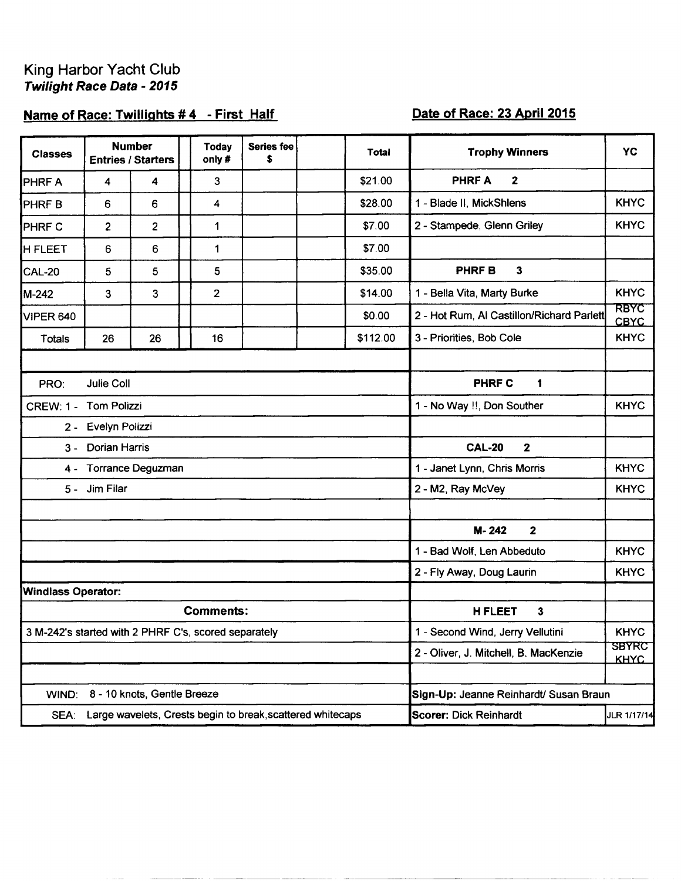## King Harbor Yacht Club<br>Twilight Race Data - 2015

## Name of Race: Twillights #4 - First Half

## Date of Race: 23 April 2015

| <b>Classes</b>                                                  |                | <b>Number</b><br><b>Entries / Starters</b> |  | <b>Today</b><br>only# | <b>Series fee</b><br>\$ |  | Total                                  | <b>Trophy Winners</b>                     | <b>YC</b>           |  |  |
|-----------------------------------------------------------------|----------------|--------------------------------------------|--|-----------------------|-------------------------|--|----------------------------------------|-------------------------------------------|---------------------|--|--|
| PHRF A                                                          | 4              | 4                                          |  | 3                     |                         |  | \$21.00                                | $\overline{2}$<br><b>PHRFA</b>            |                     |  |  |
| PHRF <sub>B</sub>                                               | 6              | 6                                          |  | 4                     |                         |  | \$28.00                                | 1 - Blade II, MickShlens                  | <b>KHYC</b>         |  |  |
| PHRF C                                                          | $\overline{2}$ | $\overline{2}$                             |  | 1                     |                         |  | \$7.00                                 | 2 - Stampede, Glenn Griley                | <b>KHYC</b>         |  |  |
| <b>H FLEET</b>                                                  | 6              | 6                                          |  | 1                     |                         |  | \$7.00                                 |                                           |                     |  |  |
| <b>CAL-20</b>                                                   | 5              | 5                                          |  | 5                     |                         |  | \$35.00                                | <b>PHRFB</b><br>$\mathbf{3}$              |                     |  |  |
| M-242                                                           | 3              | 3                                          |  | $\overline{2}$        |                         |  | \$14.00                                | 1 - Bella Vita, Marty Burke               | <b>KHYC</b>         |  |  |
| <b>VIPER 640</b>                                                |                |                                            |  |                       |                         |  | \$0.00                                 | 2 - Hot Rum, Al Castillon/Richard Parlett | RBYC<br><b>CBYC</b> |  |  |
| Totals                                                          | 26             | 26                                         |  | 16                    |                         |  | \$112.00                               | 3 - Priorities, Bob Cole                  | <b>KHYC</b>         |  |  |
|                                                                 |                |                                            |  |                       |                         |  |                                        |                                           |                     |  |  |
| <b>Julie Coll</b><br>PRO:                                       |                |                                            |  |                       |                         |  | <b>PHRF C</b><br>1                     |                                           |                     |  |  |
| CREW: 1 - Tom Polizzi                                           |                |                                            |  |                       |                         |  |                                        | 1 - No Way !!, Don Souther                | <b>KHYC</b>         |  |  |
| 2 - Evelyn Polizzi                                              |                |                                            |  |                       |                         |  |                                        |                                           |                     |  |  |
| <b>Dorian Harris</b><br>$3 -$                                   |                |                                            |  |                       |                         |  |                                        | <b>CAL-20</b><br>$\mathbf{2}$             |                     |  |  |
| 4 - Torrance Deguzman                                           |                |                                            |  |                       |                         |  | 1 - Janet Lynn, Chris Morris           | <b>KHYC</b>                               |                     |  |  |
|                                                                 | 5 - Jim Filar  |                                            |  |                       |                         |  |                                        | 2 - M2, Ray McVey                         | <b>KHYC</b>         |  |  |
|                                                                 |                |                                            |  |                       |                         |  |                                        |                                           |                     |  |  |
|                                                                 |                |                                            |  |                       |                         |  | M-242<br>$\mathbf{2}$                  |                                           |                     |  |  |
|                                                                 |                |                                            |  |                       |                         |  |                                        | 1 - Bad Wolf, Len Abbeduto                | <b>KHYC</b>         |  |  |
|                                                                 |                |                                            |  |                       |                         |  |                                        | 2 - Fly Away, Doug Laurin                 | <b>KHYC</b>         |  |  |
| <b>Windlass Operator:</b>                                       |                |                                            |  |                       |                         |  |                                        |                                           |                     |  |  |
| <b>Comments:</b>                                                |                |                                            |  |                       |                         |  | <b>H FLEET</b><br>3                    |                                           |                     |  |  |
| 3 M-242's started with 2 PHRF C's, scored separately            |                |                                            |  |                       |                         |  |                                        | 1 - Second Wind, Jerry Vellutini          | <b>KHYC</b>         |  |  |
|                                                                 |                |                                            |  |                       |                         |  | 2 - Oliver, J. Mitchell, B. MacKenzie  | <b>SBYRC</b><br><b>KHAC</b>               |                     |  |  |
|                                                                 |                |                                            |  |                       |                         |  |                                        |                                           |                     |  |  |
| 8 - 10 knots, Gentle Breeze<br>WIND:                            |                |                                            |  |                       |                         |  | Sign-Up: Jeanne Reinhardt/ Susan Braun |                                           |                     |  |  |
| SEA: Large wavelets, Crests begin to break, scattered whitecaps |                |                                            |  |                       |                         |  | Scorer: Dick Reinhardt                 | JLR 1/17/14                               |                     |  |  |

 $\sim$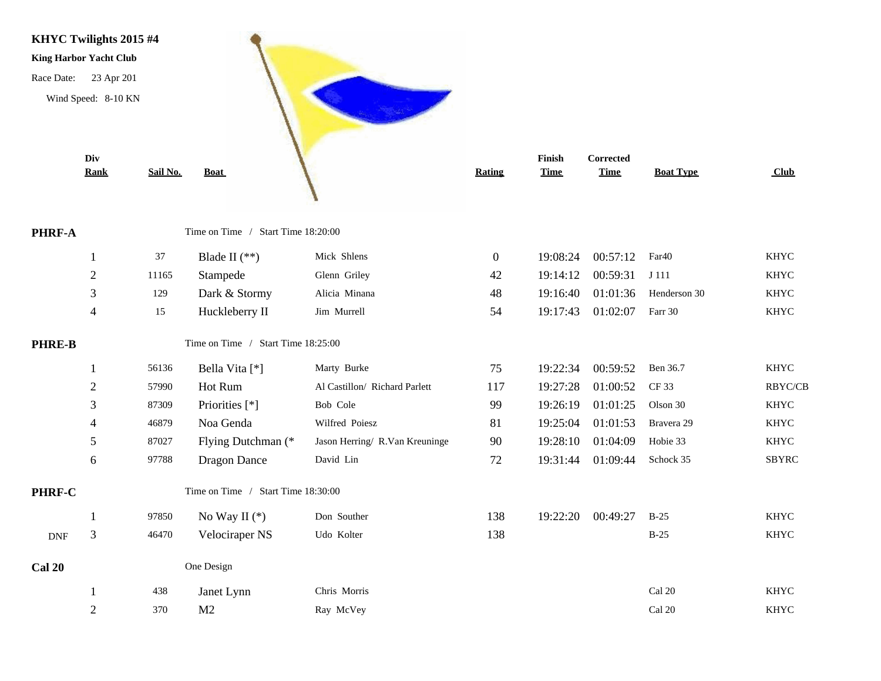

**PHRF-A** 

PHRE-B

PHRF-C

**Cal 20** 

|             | Rank           | Sail No. | <b>Boat</b>                        |                                | Rating         | <b>Time</b> | <b>Time</b> | <b>Boat Type</b>  | <b>Club</b>  |  |
|-------------|----------------|----------|------------------------------------|--------------------------------|----------------|-------------|-------------|-------------------|--------------|--|
| $RF-A$      |                |          | Time on Time / Start Time 18:20:00 |                                |                |             |             |                   |              |  |
|             | 1              | 37       | Blade II $(**)$                    | Mick Shlens                    | $\overline{0}$ | 19:08:24    | 00:57:12    | Far <sub>40</sub> | <b>KHYC</b>  |  |
|             | $\sqrt{2}$     | 11165    | Stampede                           | Glenn Griley                   | 42             | 19:14:12    | 00:59:31    | J 111             | <b>KHYC</b>  |  |
|             | 3              | 129      | Dark & Stormy                      | Alicia Minana                  | 48             | 19:16:40    | 01:01:36    | Henderson 30      | <b>KHYC</b>  |  |
|             | $\overline{4}$ | 15       | Huckleberry II                     | Jim Murrell                    | 54             | 19:17:43    | 01:02:07    | Farr 30           | <b>KHYC</b>  |  |
| <b>RE-B</b> |                |          | Time on Time / Start Time 18:25:00 |                                |                |             |             |                   |              |  |
|             | 1              | 56136    | Bella Vita [*]                     | Marty Burke                    | 75             | 19:22:34    | 00:59:52    | Ben 36.7          | <b>KHYC</b>  |  |
|             | $\overline{2}$ | 57990    | Hot Rum                            | Al Castillon/ Richard Parlett  | 117            | 19:27:28    | 01:00:52    | CF 33             | RBYC/CB      |  |
|             | 3              | 87309    | Priorities [*]                     | Bob Cole                       | 99             | 19:26:19    | 01:01:25    | Olson 30          | <b>KHYC</b>  |  |
|             |                | 46879    | Noa Genda                          | Wilfred Poiesz                 | 81             | 19:25:04    | 01:01:53    | Bravera 29        | <b>KHYC</b>  |  |
|             | 5              | 87027    | Flying Dutchman (*                 | Jason Herring/ R.Van Kreuninge | 90             | 19:28:10    | 01:04:09    | Hobie 33          | <b>KHYC</b>  |  |
|             | 6              | 97788    | <b>Dragon Dance</b>                | David Lin                      | 72             | 19:31:44    | 01:09:44    | Schock 35         | <b>SBYRC</b> |  |
| $RF-C$      |                |          | Time on Time / Start Time 18:30:00 |                                |                |             |             |                   |              |  |
|             | -1             | 97850    | No Way II $(*)$                    | Don Souther                    | 138            | 19:22:20    | 00:49:27    | $B-25$            | <b>KHYC</b>  |  |
| DNF         | 3              | 46470    | Velociraper NS                     | Udo Kolter                     | 138            |             |             | $B-25$            | <b>KHYC</b>  |  |
| 20          |                |          | One Design                         |                                |                |             |             |                   |              |  |
|             |                | 438      | Janet Lynn                         | Chris Morris                   |                |             |             | Cal 20            | <b>KHYC</b>  |  |
|             | $\mathfrak{2}$ | 370      | M <sub>2</sub>                     | Ray McVey                      |                |             |             | Cal 20            | <b>KHYC</b>  |  |